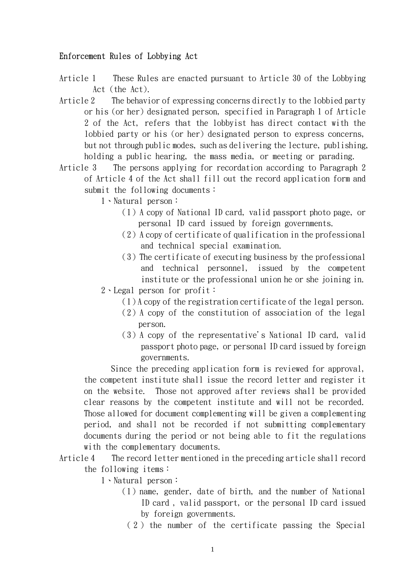## Enforcement Rules of Lobbying Act

Article 1 These Rules are enacted pursuant to Article 30 of the Lobbying Act (the Act).

- Article 2 The behavior of expressing concerns directly to the lobbied party or his (or her) designated person, specified in Paragraph 1 of Article 2 of the Act, refers that the lobbyist has direct contact with the lobbied party or his (or her) designated person to express concerns, but not through public modes, such as delivering the lecture, publishing, holding a public hearing, the mass media, or meeting or parading.
- Article 3 The persons applying for recordation according to Paragraph 2 of Article 4 of the Act shall fill out the record application form and submit the following documents:
	- 1、Natural person:
		- (1)A copy of National ID card, valid passport photo page, or personal ID card issued by foreign governments.
		- $(2)$  A copy of certificate of qualification in the professional and technical special examination.
		- $(3)$  The certificate of executing business by the professional and technical personnel, issued by the competent institute or the professional union he or she joining in.
	- 2、Legal person for profit:
		- (1)A copy of the registration certificate of the legal person.
		- (2)A copy of the constitution of association of the legal person.
		- (3)A copy of the representative's National ID card, valid passport photo page, or personal ID card issued by foreign governments.

Since the preceding application form is reviewed for approval, the competent institute shall issue the record letter and register it on the website. Those not approved after reviews shall be provided clear reasons by the competent institute and will not be recorded. Those allowed for document complementing will be given a complementing period, and shall not be recorded if not submitting complementary documents during the period or not being able to fit the regulations with the complementary documents.

- Article 4 The record letter mentioned in the preceding article shall record the following items:
	- 1、Natural person:
		- $(1)$  name, gender, date of birth, and the number of National ID card , valid passport, or the personal ID card issued by foreign governments.
			- ( 2 ) the number of the certificate passing the Special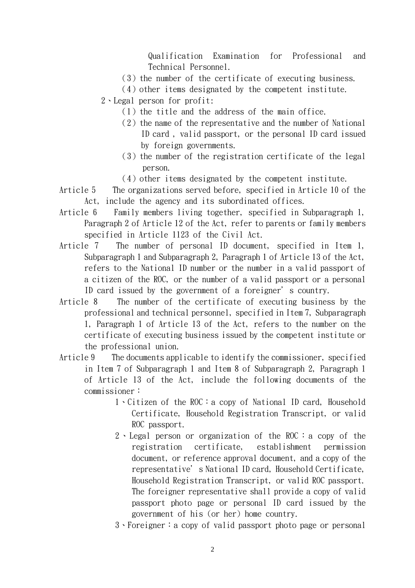Qualification Examination for Professional and Technical Personnel.

- $(3)$  the number of the certificate of executing business.
- $(4)$  other items designated by the competent institute.
- 2、Legal person for profit:
	- $(1)$  the title and the address of the main office.
	- $(2)$  the name of the representative and the number of National ID card , valid passport, or the personal ID card issued by foreign governments.
	- $(3)$  the number of the registration certificate of the legal person.
	- $(4)$  other items designated by the competent institute.
- Article 5 The organizations served before, specified in Article 10 of the Act, include the agency and its subordinated offices.
- Article 6 Family members living together, specified in Subparagraph 1, Paragraph 2 of Article 12 of the Act, refer to parents or family members specified in Article 1123 of the Civil Act.
- Article 7 The number of personal ID document, specified in Item 1, Subparagraph 1 and Subparagraph 2, Paragraph 1 of Article 13 of the Act, refers to the National ID number or the number in a valid passport of a citizen of the ROC, or the number of a valid passport or a personal ID card issued by the government of a foreigner's country.
- Article 8 The number of the certificate of executing business by the professional and technical personnel, specified in Item 7, Subparagraph 1, Paragraph 1 of Article 13 of the Act, refers to the number on the certificate of executing business issued by the competent institute or the professional union.
- Article 9 The documents applicable to identify the commissioner, specified in Item 7 of Subparagraph 1 and Item 8 of Subparagraph 2, Paragraph 1 of Article 13 of the Act, include the following documents of the commissioner:
	- 1、Citizen of the ROC:a copy of National ID card, Household Certificate, Household Registration Transcript, or valid ROC passport.
	- 2、 Legal person or organization of the ROC: a copy of the registration certificate, establishment permission document, or reference approval document, and a copy of the representative's National ID card, Household Certificate, Household Registration Transcript, or valid ROC passport. The foreigner representative shall provide a copy of valid passport photo page or personal ID card issued by the government of his (or her) home country.
	- 3、Foreigner:a copy of valid passport photo page or personal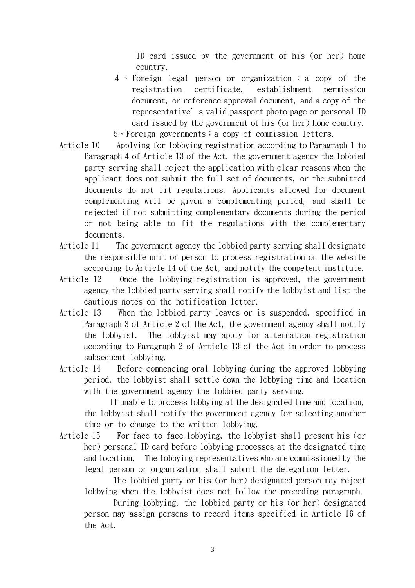ID card issued by the government of his (or her) home country.

- 4 、 Foreign legal person or organization : a copy of the registration certificate, establishment permission document, or reference approval document, and a copy of the representative's valid passport photo page or personal ID card issued by the government of his (or her) home country.
- 5、Foreign governments:a copy of commission letters.
- Article 10 Applying for lobbying registration according to Paragraph 1 to Paragraph 4 of Article 13 of the Act, the government agency the lobbied party serving shall reject the application with clear reasons when the applicant does not submit the full set of documents, or the submitted documents do not fit regulations. Applicants allowed for document complementing will be given a complementing period, and shall be rejected if not submitting complementary documents during the period or not being able to fit the regulations with the complementary documents.
- Article 11 The government agency the lobbied party serving shall designate the responsible unit or person to process registration on the website according to Article 14 of the Act, and notify the competent institute.
- Article 12 Once the lobbying registration is approved, the government agency the lobbied party serving shall notify the lobbyist and list the cautious notes on the notification letter.
- Article 13 When the lobbied party leaves or is suspended, specified in Paragraph 3 of Article 2 of the Act, the government agency shall notify the lobbyist. The lobbyist may apply for alternation registration according to Paragraph 2 of Article 13 of the Act in order to process subsequent lobbying.
- Article 14 Before commencing oral lobbying during the approved lobbying period, the lobbyist shall settle down the lobbying time and location with the government agency the lobbied party serving.

 If unable to process lobbying at the designated time and location, the lobbyist shall notify the government agency for selecting another time or to change to the written lobbying.

Article 15 For face-to-face lobbying, the lobbyist shall present his (or her) personal ID card before lobbying processes at the designated time and location. The lobbying representatives who are commissioned by the legal person or organization shall submit the delegation letter.

The lobbied party or his (or her) designated person may reject lobbying when the lobbyist does not follow the preceding paragraph.

During lobbying, the lobbied party or his (or her) designated person may assign persons to record items specified in Article 16 of the Act.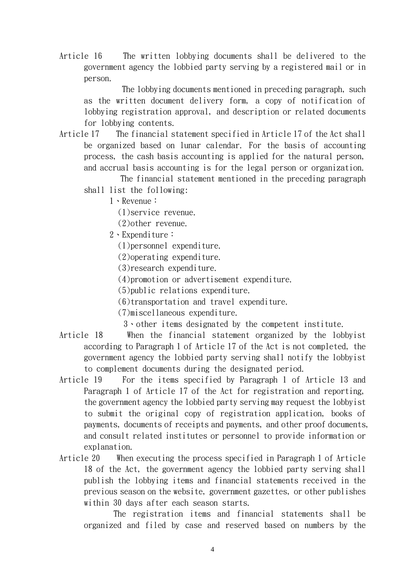Article 16 The written lobbying documents shall be delivered to the government agency the lobbied party serving by a registered mail or in person.

The lobbying documents mentioned in preceding paragraph, such as the written document delivery form, a copy of notification of lobbying registration approval, and description or related documents for lobbying contents.

Article 17 The financial statement specified in Article 17 of the Act shall be organized based on lunar calendar. For the basis of accounting process, the cash basis accounting is applied for the natural person, and accrual basis accounting is for the legal person or organization.

The financial statement mentioned in the preceding paragraph shall list the following:

1、Revenue:

(1)service revenue.

(2)other revenue.

2、Expenditure:

(1)personnel expenditure.

(2)operating expenditure.

(3)research expenditure.

(4)promotion or advertisement expenditure.

(5)public relations expenditure.

(6)transportation and travel expenditure.

(7)miscellaneous expenditure.

3、other items designated by the competent institute.

- Article 18 When the financial statement organized by the lobbyist according to Paragraph 1 of Article 17 of the Act is not completed, the government agency the lobbied party serving shall notify the lobbyist to complement documents during the designated period.
- Article 19 For the items specified by Paragraph 1 of Article 13 and Paragraph 1 of Article 17 of the Act for registration and reporting, the government agency the lobbied party serving may request the lobbyist to submit the original copy of registration application, books of payments, documents of receipts and payments, and other proof documents, and consult related institutes or personnel to provide information or explanation.
- Article 20 When executing the process specified in Paragraph 1 of Article 18 of the Act, the government agency the lobbied party serving shall publish the lobbying items and financial statements received in the previous season on the website, government gazettes, or other publishes within 30 days after each season starts.

The registration items and financial statements shall be organized and filed by case and reserved based on numbers by the